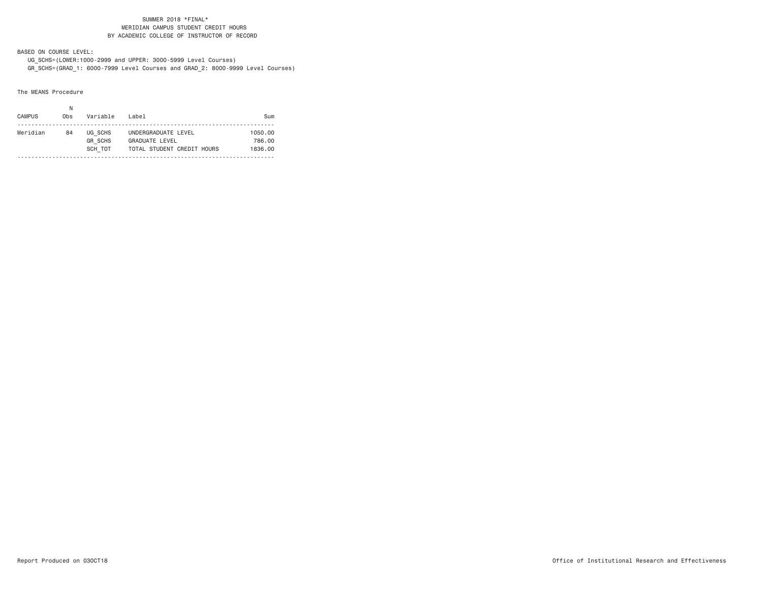### SUMMER 2018 \*FINAL\* MERIDIAN CAMPUS STUDENT CREDIT HOURSBY ACADEMIC COLLEGE OF INSTRUCTOR OF RECORD

BASED ON COURSE LEVEL:

 UG\_SCHS=(LOWER:1000-2999 and UPPER: 3000-5999 Level Courses) GR\_SCHS=(GRAD\_1: 6000-7999 Level Courses and GRAD\_2: 8000-9999 Level Courses)

The MEANS Procedure

| <b>CAMPUS</b> | 0bs | Variable                             | Label                                                                      | Sum                          |
|---------------|-----|--------------------------------------|----------------------------------------------------------------------------|------------------------------|
| Meridian      | 84  | UG SCHS<br><b>GR SCHS</b><br>SCH TOT | UNDERGRADUATE LEVEL<br><b>GRADUATE LEVEL</b><br>TOTAL STUDENT CREDIT HOURS | 1050.00<br>786.00<br>1836.00 |
|               |     |                                      |                                                                            |                              |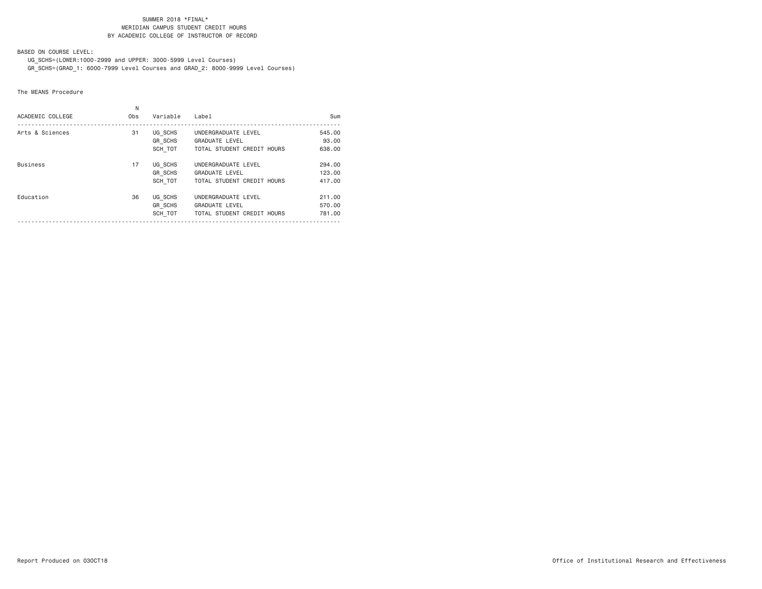### SUMMER 2018 \*FINAL\* MERIDIAN CAMPUS STUDENT CREDIT HOURSBY ACADEMIC COLLEGE OF INSTRUCTOR OF RECORD

BASED ON COURSE LEVEL:

UG\_SCHS=(LOWER:1000-2999 and UPPER: 3000-5999 Level Courses)

GR\_SCHS=(GRAD\_1: 6000-7999 Level Courses and GRAD\_2: 8000-9999 Level Courses)

The MEANS Procedure

| ACADEMIC COLLEGE | Ν<br>0 <sub>bs</sub> | Variable                             | Label                                                                      | Sum                        |
|------------------|----------------------|--------------------------------------|----------------------------------------------------------------------------|----------------------------|
| Arts & Sciences  | 31                   | UG SCHS<br>GR SCHS<br>SCH TOT        | UNDERGRADUATE LEVEL<br><b>GRADUATE LEVEL</b><br>TOTAL STUDENT CREDIT HOURS | 545,00<br>93,00<br>638,00  |
| <b>Business</b>  | 17                   | UG SCHS<br><b>GR SCHS</b><br>SCH TOT | UNDERGRADUATE LEVEL<br><b>GRADUATE LEVEL</b><br>TOTAL STUDENT CREDIT HOURS | 294.00<br>123,00<br>417.00 |
| Education        | 36                   | UG SCHS<br><b>GR SCHS</b><br>SCH TOT | UNDERGRADUATE LEVEL<br><b>GRADUATE LEVEL</b><br>TOTAL STUDENT CREDIT HOURS | 211,00<br>570.00<br>781.00 |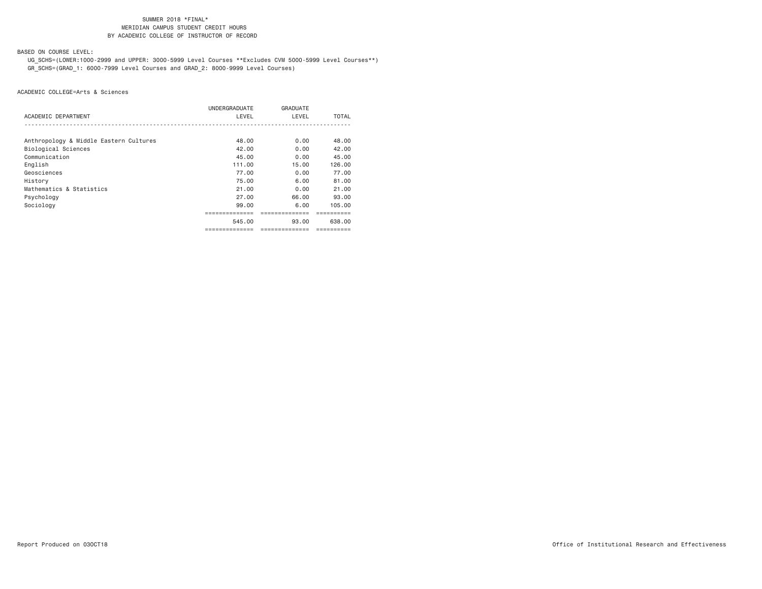# SUMMER 2018 \*FINAL\***MERIDIAN CAMPUS STUDENT CREDIT HOURS** BY ACADEMIC COLLEGE OF INSTRUCTOR OF RECORD

BASED ON COURSE LEVEL:

 UG\_SCHS=(LOWER:1000-2999 and UPPER: 3000-5999 Level Courses \*\*Excludes CVM 5000-5999 Level Courses\*\*) GR\_SCHS=(GRAD\_1: 6000-7999 Level Courses and GRAD\_2: 8000-9999 Level Courses)

|                                        | UNDERGRADUATE  | GRADUATE       |              |
|----------------------------------------|----------------|----------------|--------------|
| ACADEMIC DEPARTMENT                    | LEVEL          | LEVEL          | <b>TOTAL</b> |
|                                        |                |                |              |
| Anthropology & Middle Eastern Cultures | 48.00          | 0.00           | 48.00        |
| Biological Sciences                    | 42.00          | 0.00           | 42.00        |
| Communication                          | 45.00          | 0.00           | 45.00        |
| English                                | 111.00         | 15.00          | 126.00       |
| Geosciences                            | 77.00          | 0.00           | 77.00        |
| History                                | 75.00          | 6.00           | 81.00        |
| Mathematics & Statistics               | 21.00          | 0.00           | 21,00        |
| Psychology                             | 27.00          | 66.00          | 93.00        |
| Sociology                              | 99.00          | 6.00           | 105,00       |
|                                        | -------------- | .              |              |
|                                        | 545.00         | 93.00          | 638.00       |
|                                        | ============== | ============== | ==========   |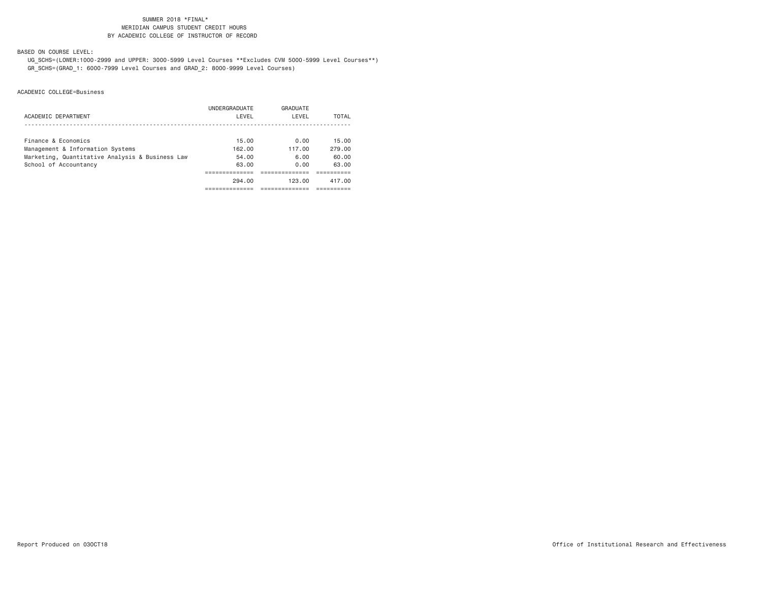# SUMMER 2018 \*FINAL\***MERIDIAN CAMPUS STUDENT CREDIT HOURS** BY ACADEMIC COLLEGE OF INSTRUCTOR OF RECORD

BASED ON COURSE LEVEL:

 UG\_SCHS=(LOWER:1000-2999 and UPPER: 3000-5999 Level Courses \*\*Excludes CVM 5000-5999 Level Courses\*\*) GR\_SCHS=(GRAD\_1: 6000-7999 Level Courses and GRAD\_2: 8000-9999 Level Courses)

|                                                 | UNDERGRADUATE | GRADUATE |        |
|-------------------------------------------------|---------------|----------|--------|
| ACADEMIC DEPARTMENT                             | LEVEL         | LEVEL    | TOTAL  |
|                                                 |               |          |        |
| Finance & Economics                             | 15.00         | 0.00     | 15.00  |
| Management & Information Systems                | 162.00        | 117.00   | 279.00 |
| Marketing, Quantitative Analysis & Business Law | 54.00         | 6.00     | 60.00  |
| School of Accountancy                           | 63.00         | 0.00     | 63.00  |
|                                                 |               |          |        |
|                                                 | 294.00        | 123.00   | 417.00 |
|                                                 |               |          |        |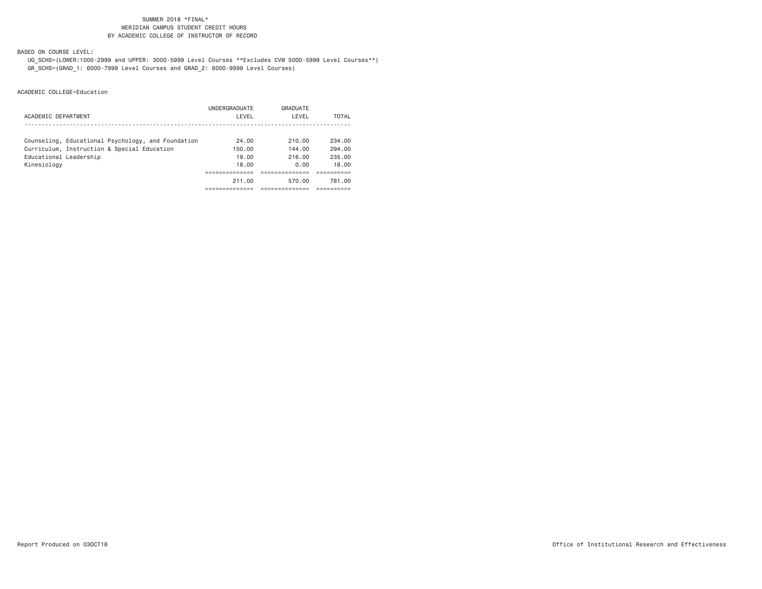# SUMMER 2018 \*FINAL\***MERIDIAN CAMPUS STUDENT CREDIT HOURS** BY ACADEMIC COLLEGE OF INSTRUCTOR OF RECORD

BASED ON COURSE LEVEL:

 UG\_SCHS=(LOWER:1000-2999 and UPPER: 3000-5999 Level Courses \*\*Excludes CVM 5000-5999 Level Courses\*\*) GR\_SCHS=(GRAD\_1: 6000-7999 Level Courses and GRAD\_2: 8000-9999 Level Courses)

|                                                    | UNDERGRADUATE | GRADUATE |        |
|----------------------------------------------------|---------------|----------|--------|
| ACADEMIC DEPARTMENT                                | LEVEL         | LEVEL    | TOTAL  |
|                                                    |               |          |        |
| Counseling, Educational Psychology, and Foundation | 24.00         | 210.00   | 234.00 |
| Curriculum, Instruction & Special Education        | 150.00        | 144.00   | 294.00 |
| Educational Leadership                             | 19.00         | 216.00   | 235.00 |
| Kinesiology                                        | 18,00         | 0.00     | 18.00  |
|                                                    |               |          |        |
|                                                    | 211.00        | 570.00   | 781.00 |
|                                                    |               |          |        |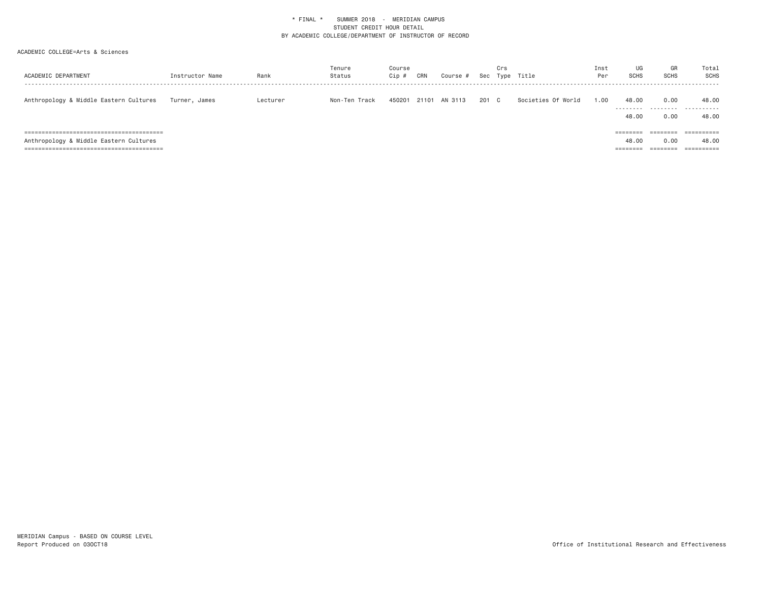| ACADEMIC DEPARTMENT                    | Instructor Name | Rank     | Tenure<br>Status | Course<br>Cip # | CRN   | Course # | Sec   | Crs | Type Title         | Inst<br>Per | UG<br><b>SCHS</b>                         | GR<br><b>SCHS</b>                        | Total<br>SCHS<br>-------                        |
|----------------------------------------|-----------------|----------|------------------|-----------------|-------|----------|-------|-----|--------------------|-------------|-------------------------------------------|------------------------------------------|-------------------------------------------------|
| Anthropology & Middle Eastern Cultures | Turner, James   | Lecturer | Non-Ten Track    | 450201          | 21101 | AN 3113  | 201 C |     | Societies Of World | 1.00        | 48.00<br>---------<br>48.00               | 0.00<br>.<br>0.00                        | 48.00<br>.<br>48.00                             |
| Anthropology & Middle Eastern Cultures |                 |          |                  |                 |       |          |       |     |                    |             | ========<br>48.00<br>--------<br>-------- | ========<br>0.00<br>--------<br>-------- | ==========<br>48.00<br>----------<br>---------- |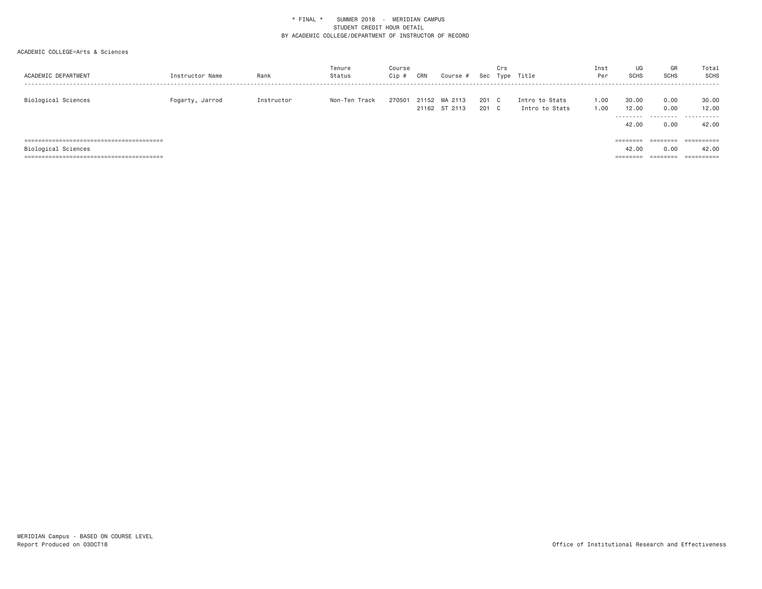| ACADEMIC DEPARTMENT | Instructor Name | Rank       | Tenure<br>Status | Course<br>Cip # | CRN | Course #                       | Sec            | Crs | Type Title                       | Inst<br>Per  | UG<br><b>SCHS</b>           | GR<br><b>SCHS</b>    | Total<br>SCHS       |
|---------------------|-----------------|------------|------------------|-----------------|-----|--------------------------------|----------------|-----|----------------------------------|--------------|-----------------------------|----------------------|---------------------|
| Biological Sciences | Fogarty, Jarrod | Instructor | Non-Ten Track    | 270501          |     | 21152 MA 2113<br>21162 ST 2113 | 201 C<br>201 C |     | Intro to Stats<br>Intro to Stats | 1.00<br>1.00 | 30.00<br>12.00<br>--------- | 0.00<br>0.00         | 30.00<br>12.00<br>. |
|                     |                 |            |                  |                 |     |                                |                |     |                                  |              | 42.00<br>$=$ = = = = = = =  | 0.00<br>========     | 42.00<br>========== |
| Biological Sciences |                 |            |                  |                 |     |                                |                |     |                                  |              | 42.00                       | 0.00                 | 42.00               |
|                     |                 |            |                  |                 |     |                                |                |     |                                  |              | ---------<br>--------       | --------<br>-------- |                     |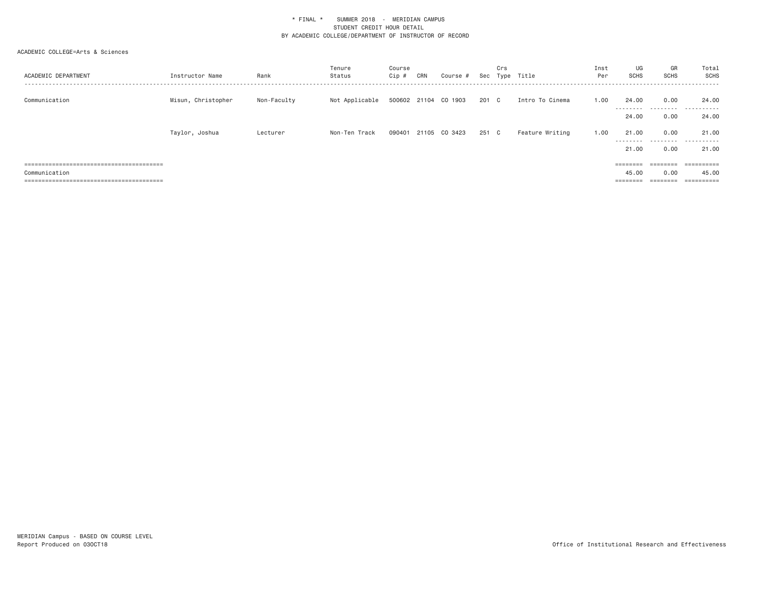| ACADEMIC DEPARTMENT | Instructor Name    | Rank        | Tenure<br>Status | Course<br>Cip # | CRN | Course #             | Sec   | Crs          | Type Title      | Inst<br>Per | UG<br><b>SCHS</b>  | GR<br><b>SCHS</b> | Total<br>SCHS         |
|---------------------|--------------------|-------------|------------------|-----------------|-----|----------------------|-------|--------------|-----------------|-------------|--------------------|-------------------|-----------------------|
| Communication       | Misun, Christopher | Non-Faculty | Not Applicable   |                 |     | 500602 21104 CO 1903 | 201 C |              | Intro To Cinema | 1.00        | 24,00<br>--------- | 0.00<br>.         | 24.00<br>.            |
|                     |                    |             |                  |                 |     |                      |       |              |                 |             | 24.00              | 0.00              | 24,00                 |
|                     | Taylor, Joshua     | Lecturer    | Non-Ten Track    | 090401          |     | 21105 CO 3423        | 251   | $\mathbf{C}$ | Feature Writing | 1.00        | 21.00<br>--------- | 0.00              | 21.00<br>.            |
|                     |                    |             |                  |                 |     |                      |       |              |                 |             | 21.00              | 0.00              | 21.00                 |
|                     |                    |             |                  |                 |     |                      |       |              |                 |             |                    |                   |                       |
|                     |                    |             |                  |                 |     |                      |       |              |                 |             | ========           |                   |                       |
| Communication       |                    |             |                  |                 |     |                      |       |              |                 |             | 45.00              | 0.00              | 45.00                 |
|                     |                    |             |                  |                 |     |                      |       |              |                 |             | ---------          | --------          | ----------<br>------- |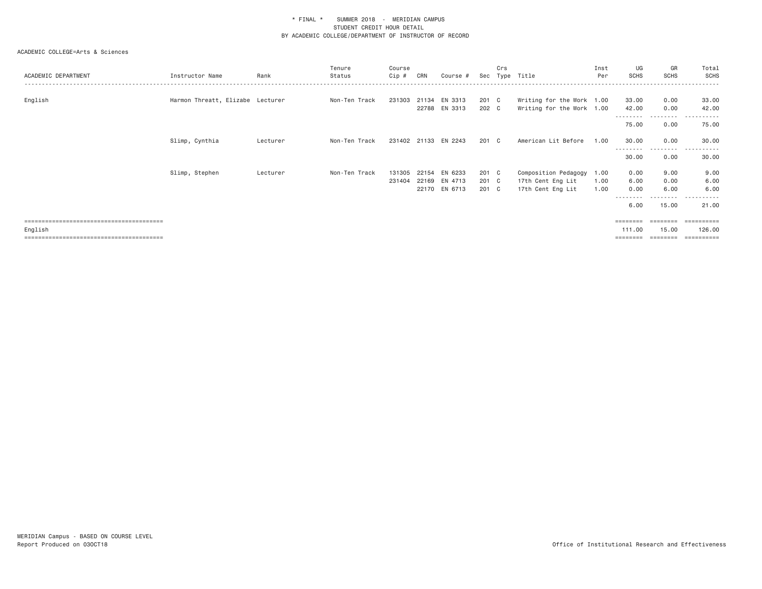| ACADEMIC DEPARTMENT | Instructor Name                  | Rank     | Tenure<br>Status | Course<br>Cip # | CRN | Course #             |       | Crs | Sec Type Title            | Inst<br>Per | UG<br><b>SCHS</b> | GR<br>SCHS        | Total<br>SCHS         |
|---------------------|----------------------------------|----------|------------------|-----------------|-----|----------------------|-------|-----|---------------------------|-------------|-------------------|-------------------|-----------------------|
| English             | Harmon Threatt, Elizabe Lecturer |          | Non-Ten Track    |                 |     | 231303 21134 EN 3313 | 201 C |     | Writing for the Work 1.00 |             | 33.00             | 0.00              | 33.00                 |
|                     |                                  |          |                  |                 |     | 22788 EN 3313        | 202 C |     | Writing for the Work 1.00 |             | 42.00             | 0.00              | 42.00                 |
|                     |                                  |          |                  |                 |     |                      |       |     |                           |             | 75.00             | .<br>0.00         | -------<br>75.00      |
|                     | Slimp, Cynthia                   | Lecturer | Non-Ten Track    |                 |     | 231402 21133 EN 2243 | 201 C |     | American Lit Before       | 1.00        | 30.00             | 0.00<br>.         | 30.00                 |
|                     |                                  |          |                  |                 |     |                      |       |     |                           |             | 30.00             | 0.00              | 30.00                 |
|                     | Slimp, Stephen                   | Lecturer | Non-Ten Track    | 131305          |     | 22154 EN 6233        | 201 C |     | Composition Pedagogy      | 1.00        | 0.00              | 9.00              | 9.00                  |
|                     |                                  |          |                  | 231404          |     | 22169 EN 4713        | 201 C |     | 17th Cent Eng Lit         | 1.00        | 6.00              | 0.00              | 6.00                  |
|                     |                                  |          |                  |                 |     | 22170 EN 6713        | 201 C |     | 17th Cent Eng Lit         | 1.00        | 0.00              | 6.00              | 6.00                  |
|                     |                                  |          |                  |                 |     |                      |       |     |                           |             | 6.00              | 15.00             | 21.00                 |
|                     |                                  |          |                  |                 |     |                      |       |     |                           |             | $=$ = = = = = = = | $=$ = = = = = = = | $=$ = = = = = = = = = |
| English             |                                  |          |                  |                 |     |                      |       |     |                           |             | 111.00            | 15.00             | 126.00                |
|                     |                                  |          |                  |                 |     |                      |       |     |                           |             | ========          | ========          | ==========            |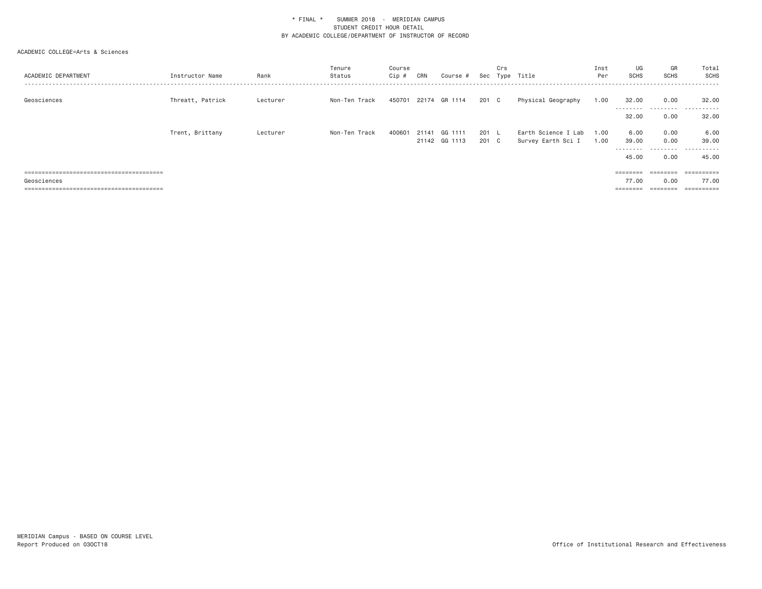| ACADEMIC DEPARTMENT | Instructor Name  | Rank     | Tenure<br>Status | Course<br>Cip # | CRN   | Course #                 |                | Crs | Sec Type Title                            | Inst<br>Per  | UG<br><b>SCHS</b>                   | GR<br><b>SCHS</b>                 | Total<br>SCHS                        |
|---------------------|------------------|----------|------------------|-----------------|-------|--------------------------|----------------|-----|-------------------------------------------|--------------|-------------------------------------|-----------------------------------|--------------------------------------|
| Geosciences         | Threatt, Patrick | Lecturer | Non-Ten Track    | 450701          |       | 22174 GR 1114            | 201 C          |     | Physical Geography                        | 1.00         | 32.00<br>32.00                      | 0.00<br>---------<br>0.00         | 32.00<br>.<br>$- - -$<br>32.00       |
|                     | Trent, Brittany  | Lecturer | Non-Ten Track    | 400601          | 21141 | GG 1111<br>21142 GG 1113 | 201 L<br>201 C |     | Earth Science I Lab<br>Survey Earth Sci I | 1.00<br>1.00 | 6.00<br>39.00<br>---------<br>45.00 | 0.00<br>0.00<br>0.00              | 6.00<br>39.00<br>----------<br>45.00 |
| Geosciences         |                  |          |                  |                 |       |                          |                |     |                                           |              | ========<br>77.00<br>========       | ========<br>0.00<br>$= 222222222$ | ==========<br>77.00                  |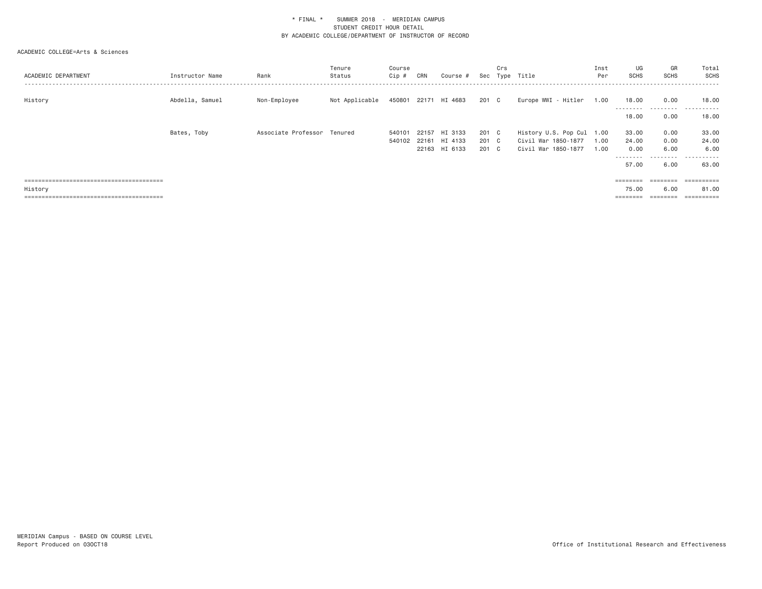| ACADEMIC DEPARTMENT | Instructor Name | Rank                        | Tenure<br>Status | Course<br>Cip # | CRN   | Course #      | Sec   | Crs | Type Title                | Inst<br>Per | UG<br><b>SCHS</b>  | GR<br><b>SCHS</b> | Total<br>SCHS           |
|---------------------|-----------------|-----------------------------|------------------|-----------------|-------|---------------|-------|-----|---------------------------|-------------|--------------------|-------------------|-------------------------|
| History             | Abdella, Samuel | Non-Employee                | Not Applicable   | 450801          |       | 22171 HI 4683 | 201 C |     | Europe WWI - Hitler       | 1.00        | 18.00<br>--------- | 0.00<br>--------- | 18.00<br>------<br>---- |
|                     |                 |                             |                  |                 |       |               |       |     |                           |             | 18,00              | 0.00              | 18.00                   |
|                     | Bates, Toby     | Associate Professor Tenured |                  | 540101          | 22157 | HI 3133       | 201 C |     | History U.S. Pop Cul 1.00 |             | 33.00              | 0.00              | 33.00                   |
|                     |                 |                             |                  | 540102          |       | 22161 HI 4133 | 201 C |     | Civil War 1850-1877       | 1.00        | 24.00              | 0.00              | 24.00                   |
|                     |                 |                             |                  |                 |       | 22163 HI 6133 | 201 C |     | Civil War 1850-1877       | 1.00        | 0.00               | 6.00              | 6.00                    |
|                     |                 |                             |                  |                 |       |               |       |     |                           |             | ---------          | .                 | . <b>.</b>              |
|                     |                 |                             |                  |                 |       |               |       |     |                           |             | 57.00              | 6.00              | 63.00                   |
|                     |                 |                             |                  |                 |       |               |       |     |                           |             | ========           | ========          |                         |
| History             |                 |                             |                  |                 |       |               |       |     |                           |             | 75.00              | 6.00              | 81.00                   |
|                     |                 |                             |                  |                 |       |               |       |     |                           |             | ========           | ========          | $=$ = = = = = = = = = = |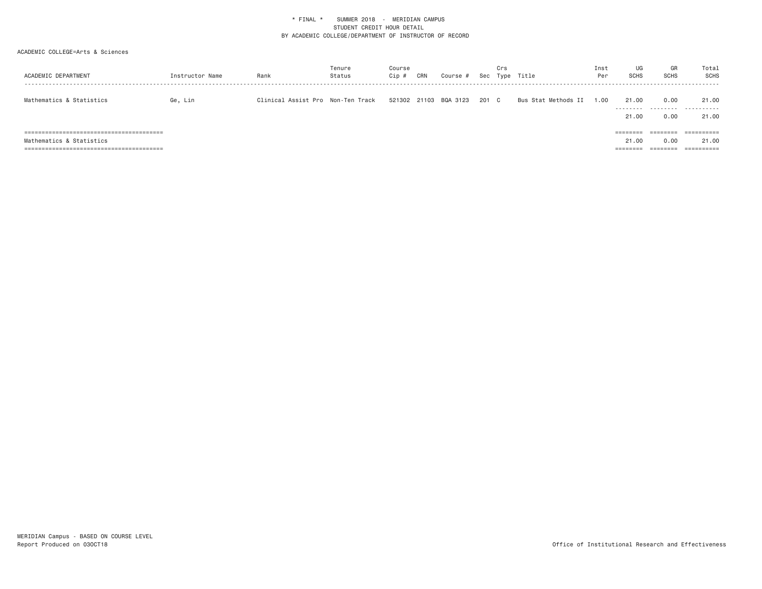| ACADEMIC DEPARTMENT      | Instructor Name | Rank                              | Tenure<br>Status | Course<br>Cip # | CRN | Course #       | Sec   | Crs | Type Title          | Inst<br>Per | UG<br><b>SCHS</b>    | GR<br><b>SCHS</b>    | Total<br>SCHS |
|--------------------------|-----------------|-----------------------------------|------------------|-----------------|-----|----------------|-------|-----|---------------------|-------------|----------------------|----------------------|---------------|
| Mathematics & Statistics | Ge, Lin         | Clinical Assist Pro Non-Ten Track |                  | 521302          |     | 21103 BQA 3123 | 201 C |     | Bus Stat Methods II | 1.00        | 21,00                | 0.00                 | 21.00<br>     |
|                          |                 |                                   |                  |                 |     |                |       |     |                     |             | 21,00                | 0.00                 | 21.00         |
|                          |                 |                                   |                  |                 |     |                |       |     |                     |             | ========             | --------<br>-------- | ==========    |
| Mathematics & Statistics |                 |                                   |                  |                 |     |                |       |     |                     |             | 21,00                | 0.00                 | 21.00         |
|                          |                 |                                   |                  |                 |     |                |       |     |                     |             | --------<br>-------- | --------<br>-------- | ==========    |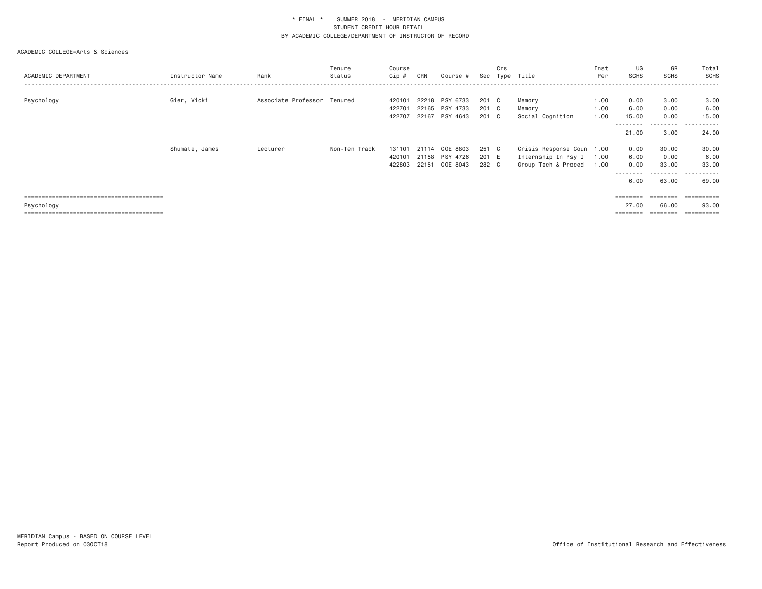| ACADEMIC DEPARTMENT | Instructor Name | Rank                        | Tenure<br>Status | Course<br>Cip #            | CRN            | Course #                                     | Sec                   | Crs                          | Type Title                                                              | Inst<br>Per          | UG<br><b>SCHS</b>                         | GR<br><b>SCHS</b>                                                                                                                                           | Total<br>SCHS<br>- - - - - -         |
|---------------------|-----------------|-----------------------------|------------------|----------------------------|----------------|----------------------------------------------|-----------------------|------------------------------|-------------------------------------------------------------------------|----------------------|-------------------------------------------|-------------------------------------------------------------------------------------------------------------------------------------------------------------|--------------------------------------|
| Psychology          | Gier, Vicki     | Associate Professor Tenured |                  | 420101<br>422701<br>422707 | 22218          | PSY 6733<br>22165 PSY 4733<br>22167 PSY 4643 | 201 C<br>201<br>201   | $\mathbf{C}$<br>$\mathbf{C}$ | Memory<br>Memory<br>Social Cognition                                    | 1.00<br>1.00<br>1.00 | 0.00<br>6.00<br>15.00                     | 3.00<br>0.00<br>0.00                                                                                                                                        | 3.00<br>6.00<br>15.00<br>.           |
|                     |                 |                             |                  |                            |                |                                              |                       |                              |                                                                         |                      | - - - - - - - - -<br>21.00                | ---------<br>3.00                                                                                                                                           | 24.00                                |
|                     | Shumate, James  | Lecturer                    | Non-Ten Track    | 131101<br>420101<br>422803 | 21114<br>22151 | COE 8803<br>21158 PSY 4726<br>COE 8043       | 251<br>201 E<br>282 C | $\mathbf{C}$                 | Crisis Response Coun 1.00<br>Internship In Psy I<br>Group Tech & Proced | 1.00<br>1.00         | 0.00<br>6.00<br>0.00<br>---------<br>6.00 | 30.00<br>0.00<br>33,00<br>---------<br>63.00                                                                                                                | 30.00<br>6.00<br>33.00<br>.<br>69.00 |
| Psychology          |                 |                             |                  |                            |                |                                              |                       |                              |                                                                         |                      | 27.00                                     | $\qquad \qquad \equiv \equiv \equiv \equiv \equiv \equiv \equiv \equiv$<br>66.00<br>$\qquad \qquad \equiv \equiv \equiv \equiv \equiv \equiv \equiv \equiv$ | 93,00                                |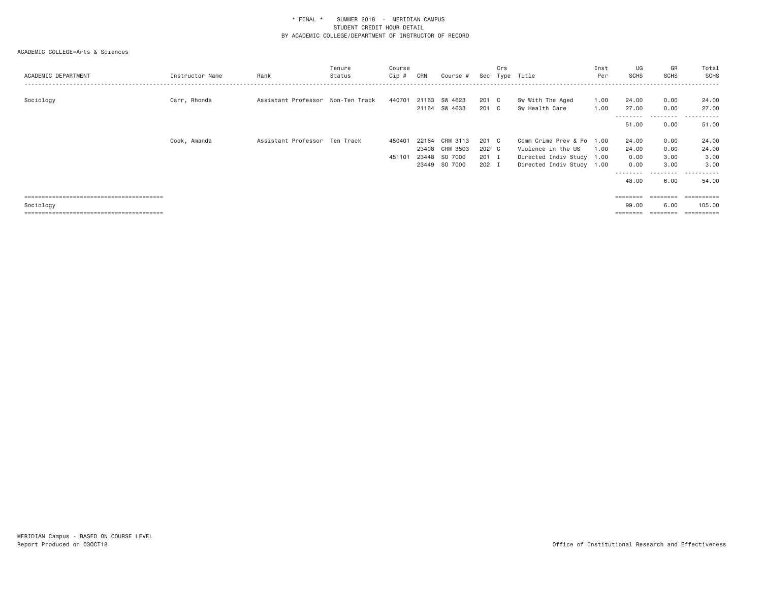| ACADEMIC DEPARTMENT | Instructor Name | Rank                              | Tenure<br>Status | Course<br>Cip # | CRN            | Course #                       | Sec            | Crs | Type Title                                      | Inst<br>Per  | UG<br><b>SCHS</b>          | GR<br>SCHS             | Total<br>SCHS       |
|---------------------|-----------------|-----------------------------------|------------------|-----------------|----------------|--------------------------------|----------------|-----|-------------------------------------------------|--------------|----------------------------|------------------------|---------------------|
| Sociology           | Carr, Rhonda    | Assistant Professor Non-Ten Track |                  | 440701          |                | 21163 SW 4623<br>21164 SW 4633 | 201 C<br>201 C |     | Sw With The Aged<br>Sw Health Care              | 1.00<br>1.00 | 24,00<br>27.00             | 0.00<br>0.00<br>.      | 24.00<br>27.00<br>. |
|                     |                 |                                   |                  |                 |                |                                |                |     |                                                 |              | 51.00                      | 0.00                   | 51.00               |
|                     | Cook, Amanda    | Assistant Professor Ten Track     |                  | 450401          | 22164<br>23408 | CRM 3113<br>CRM 3503           | 201 C<br>202 C |     | Comm Crime Prev & Po 1.00<br>Violence in the US | 1.00         | 24,00<br>24.00             | 0.00<br>0.00           | 24.00<br>24.00      |
|                     |                 |                                   |                  | 451101          | 23448          | SO 7000                        | 201 I          |     | Directed Indiv Study 1.00                       |              | 0.00                       | 3.00                   | 3.00                |
|                     |                 |                                   |                  |                 | 23449          | SO 7000                        | 202 I          |     | Directed Indiv Study 1.00                       |              | 0.00                       | 3.00                   | 3,00                |
|                     |                 |                                   |                  |                 |                |                                |                |     |                                                 |              | - - - - - - - - -<br>48.00 | -----<br>$  -$<br>6.00 | .<br>54.00          |
|                     |                 |                                   |                  |                 |                |                                |                |     |                                                 |              | ========                   | ========               | ==========          |
| Sociology           |                 |                                   |                  |                 |                |                                |                |     |                                                 |              | 99.00                      | 6.00                   | 105,00              |
|                     |                 |                                   |                  |                 |                |                                |                |     |                                                 |              |                            |                        | =========           |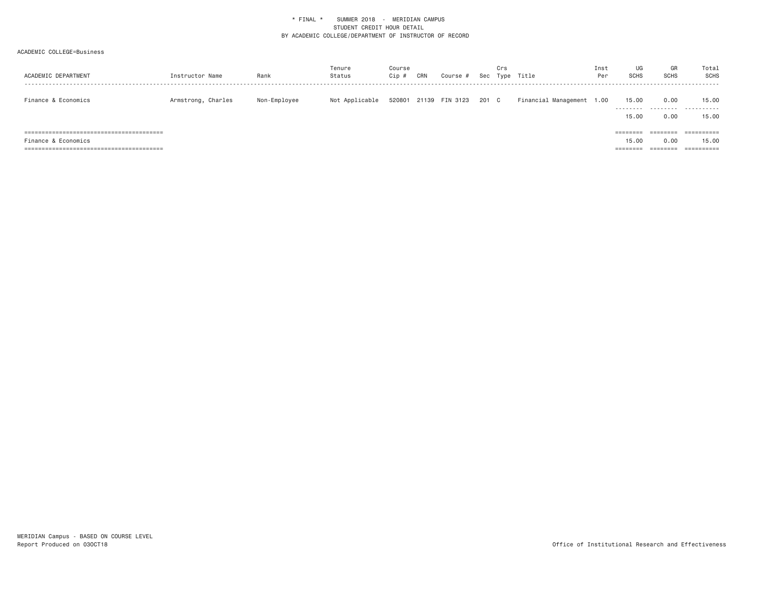| ACADEMIC DEPARTMENT | Instructor Name    | Rank         | Tenure<br>Status | Course<br>Cip # | CRN | Course #              |       | Crs | Sec Type Title            | Inst<br>Per | UG<br><b>SCHS</b>          | GR<br><b>SCHS</b> | Total<br>SCHS                  |
|---------------------|--------------------|--------------|------------------|-----------------|-----|-----------------------|-------|-----|---------------------------|-------------|----------------------------|-------------------|--------------------------------|
| Finance & Economics | Armstrong, Charles | Non-Employee | Not Applicable   |                 |     | 520801 21139 FIN 3123 | 201 C |     | Financial Management 1.00 |             | 15.00<br>.<br>15.00        | 0.00<br>.<br>0.00 | 15,00<br>.<br>15.00            |
| Finance & Economics |                    |              |                  |                 |     |                       |       |     |                           |             | $=$ = = = = = = =<br>15.00 | 0.00              | $=$ = = = = = = = = =<br>15.00 |
|                     |                    |              |                  |                 |     |                       |       |     |                           |             | ========                   | ========          | $=$ = = = = = = = = =          |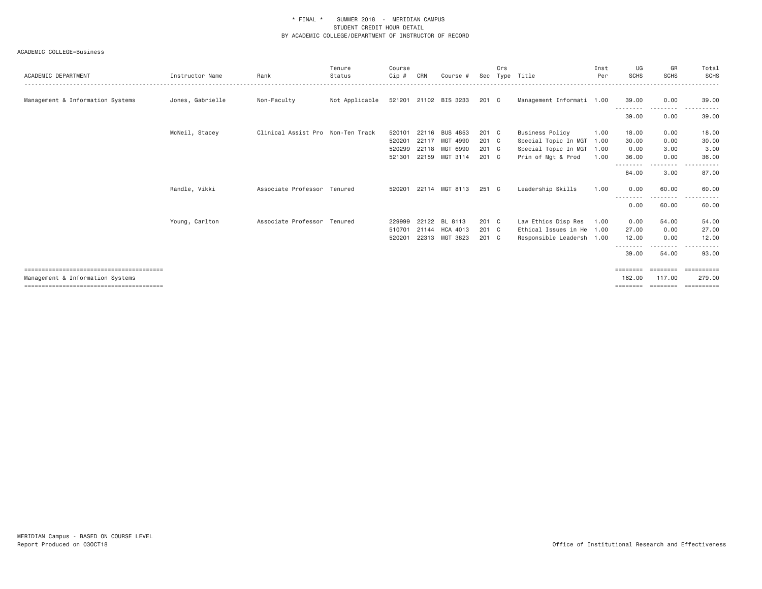|                  |                 | Tenure         | Course                                                                                                    |       |                 |                                                                                                                                               | Crs |                                                                               | Inst       | UG                                                                                         | GR                                       | Total<br><b>SCHS</b>                              |
|------------------|-----------------|----------------|-----------------------------------------------------------------------------------------------------------|-------|-----------------|-----------------------------------------------------------------------------------------------------------------------------------------------|-----|-------------------------------------------------------------------------------|------------|--------------------------------------------------------------------------------------------|------------------------------------------|---------------------------------------------------|
|                  |                 |                |                                                                                                           |       |                 |                                                                                                                                               |     |                                                                               |            |                                                                                            |                                          |                                                   |
| Jones, Gabrielle | Non-Faculty     | Not Applicable |                                                                                                           |       |                 |                                                                                                                                               |     |                                                                               |            | 39.00                                                                                      | 0.00                                     | 39.00<br>$  -$<br><u>.</u>                        |
|                  |                 |                |                                                                                                           |       |                 |                                                                                                                                               |     |                                                                               |            | 39.00                                                                                      | 0.00                                     | 39.00                                             |
| McNeil, Stacey   |                 |                | 520101                                                                                                    |       | <b>BUS 4853</b> |                                                                                                                                               |     | <b>Business Policy</b>                                                        | 1.00       | 18.00                                                                                      | 0.00                                     | 18.00                                             |
|                  |                 |                | 520201                                                                                                    | 22117 | MGT 4990        |                                                                                                                                               |     | Special Topic In MGT                                                          | 1.00       | 30.00                                                                                      | 0.00                                     | 30.00                                             |
|                  |                 |                | 520299                                                                                                    |       |                 |                                                                                                                                               |     | Special Topic In MGT                                                          | 1.00       | 0.00                                                                                       | 3.00                                     | 3.00                                              |
|                  |                 |                | 521301                                                                                                    |       |                 |                                                                                                                                               |     | Prin of Mgt & Prod                                                            | 1.00       | 36.00                                                                                      | 0.00                                     | 36.00                                             |
|                  |                 |                |                                                                                                           |       |                 |                                                                                                                                               |     |                                                                               |            | 84.00                                                                                      | 3.00                                     | 87.00                                             |
| Randle, Vikki    |                 |                | 520201                                                                                                    |       |                 |                                                                                                                                               |     | Leadership Skills                                                             | 1.00       | 0.00                                                                                       | 60.00                                    | 60.00                                             |
|                  |                 |                |                                                                                                           |       |                 |                                                                                                                                               |     |                                                                               |            | 0.00                                                                                       | 60.00                                    | 60.00                                             |
| Young, Carlton   |                 |                | 229999                                                                                                    |       | BL 8113         |                                                                                                                                               |     | Law Ethics Disp Res                                                           | 1.00       | 0.00                                                                                       | 54.00                                    | 54.00                                             |
|                  |                 |                | 510701                                                                                                    |       |                 |                                                                                                                                               |     |                                                                               |            | 27,00                                                                                      | 0.00                                     | 27.00                                             |
|                  |                 |                | 520201                                                                                                    |       |                 |                                                                                                                                               |     |                                                                               |            | 12.00                                                                                      | 0.00                                     | 12.00                                             |
|                  |                 |                |                                                                                                           |       |                 |                                                                                                                                               |     |                                                                               |            | 39.00                                                                                      | 54.00                                    | $- - - -$<br>.<br>93.00                           |
|                  |                 |                |                                                                                                           |       |                 |                                                                                                                                               |     |                                                                               |            | ========                                                                                   | --------                                 | <b>EEEEEEEE</b>                                   |
|                  |                 |                |                                                                                                           |       |                 |                                                                                                                                               |     |                                                                               |            | 162,00<br>========                                                                         | 117,00<br>========                       | 279.00<br>==========                              |
|                  | Instructor Name | Rank           | Status<br>Clinical Assist Pro Non-Ten Track<br>Associate Professor Tenured<br>Associate Professor Tenured | Cip # | CRN             | Course #<br>521201 21102 BIS 3233<br>22116<br>22118 MGT 6990<br>22159 MGT 3114<br>22114 MGT 8113<br>22122<br>21144 HCA 4013<br>22313 MGT 3823 | Sec | 201 C<br>201 C<br>201 C<br>201 C<br>201 C<br>251 C<br>201 C<br>201 C<br>201 C | Type Title | Per<br>Management Informati 1.00<br>Ethical Issues in He 1.00<br>Responsible Leadersh 1.00 | <b>SCHS</b><br>.<br>- - - - - - - -<br>. | <b>SCHS</b><br>---------<br>--------<br>--------- |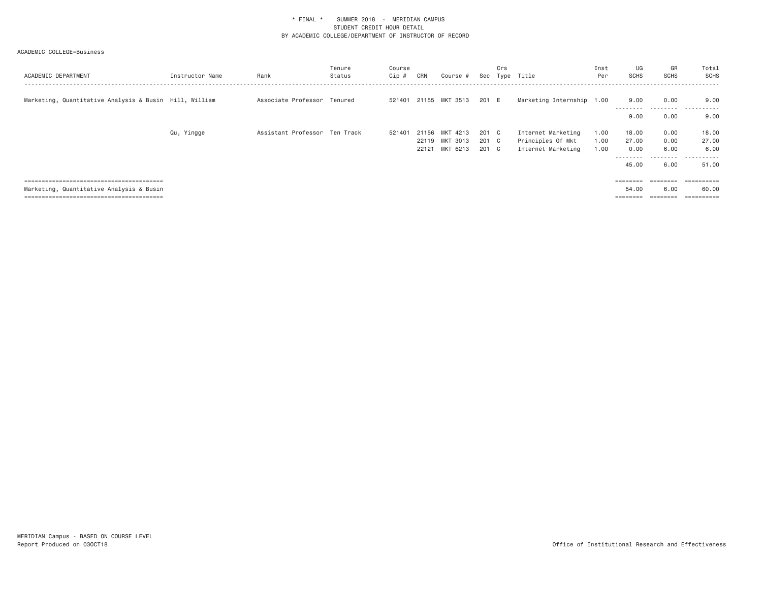| ACADEMIC DEPARTMENT                                    | Instructor Name | Rank                          | Tenure<br>Status | Course<br>Cip # | CRN | Course #                         |                | Crs | Sec Type Title                          | Inst<br>Per  | UG<br><b>SCHS</b>          | GR<br>SCHS        | Total<br><b>SCHS</b> |
|--------------------------------------------------------|-----------------|-------------------------------|------------------|-----------------|-----|----------------------------------|----------------|-----|-----------------------------------------|--------------|----------------------------|-------------------|----------------------|
| Marketing, Quantitative Analysis & Busin Hill, William |                 | Associate Professor Tenured   |                  |                 |     | 521401 21155 MKT 3513            | 201 E          |     | Marketing Internship 1.00               |              | 9.00                       | 0.00<br>--------- | 9.00<br>.            |
|                                                        |                 |                               |                  |                 |     |                                  |                |     |                                         |              | 9.00                       | 0.00              | 9.00                 |
|                                                        | Qu, Yingge      | Assistant Professor Ten Track |                  | 521401          |     | 21156 MKT 4213<br>22119 MKT 3013 | 201 C<br>201 C |     | Internet Marketing<br>Principles Of Mkt | 1.00<br>1.00 | 18.00<br>27.00             | 0.00<br>0.00      | 18.00<br>27.00       |
|                                                        |                 |                               |                  |                 |     | 22121 MKT 6213                   | 201 C          |     | Internet Marketing                      | 1.00         | 0.00                       | 6.00              | 6.00                 |
|                                                        |                 |                               |                  |                 |     |                                  |                |     |                                         |              | ---------<br>45.00         | ---------<br>6.00 | .<br>.<br>51.00      |
|                                                        |                 |                               |                  |                 |     |                                  |                |     |                                         |              | <b>EBBERGE</b>             | eeeeeee           | eesseesse            |
| Marketing, Quantitative Analysis & Busin               |                 |                               |                  |                 |     |                                  |                |     |                                         |              | 54.00<br>$=$ = = = = = = = | 6.00<br>========  | 60.00<br>----------- |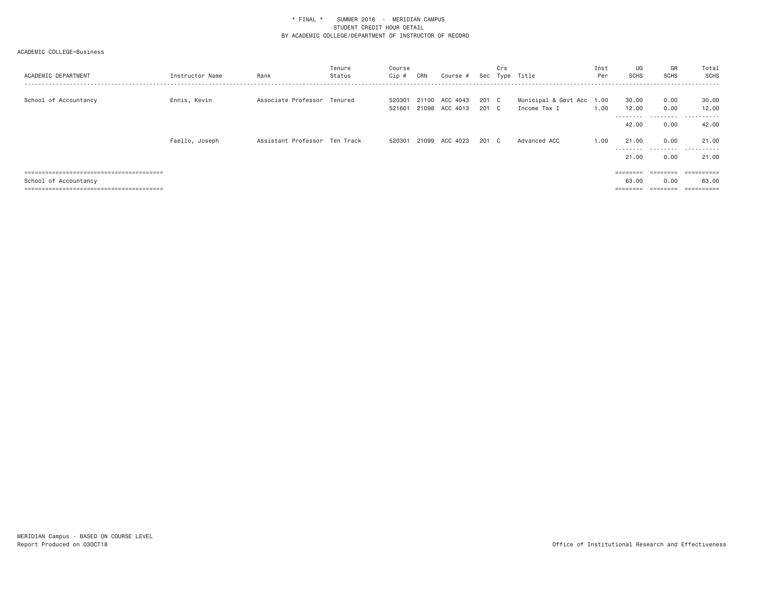| ACADEMIC DEPARTMENT   | Instructor Name | Rank                          | Tenure<br>Status | Course<br>Cip #  | CRN   | Course #                         |                | Crs | Sec Type Title                            | Inst<br>Per | UG<br><b>SCHS</b>          | GR<br>SCHS        | Total<br>SCHS       |
|-----------------------|-----------------|-------------------------------|------------------|------------------|-------|----------------------------------|----------------|-----|-------------------------------------------|-------------|----------------------------|-------------------|---------------------|
| School of Accountancy | Ennis, Kevin    | Associate Professor Tenured   |                  | 520301<br>521601 |       | 21100 ACC 4043<br>21098 ACC 4013 | 201 C<br>201 C |     | Municipal & Govt Acc 1.00<br>Income Tax I | 1.00        | 30.00<br>12.00<br>-------- | 0.00<br>0.00<br>. | 30.00<br>12.00<br>. |
|                       |                 |                               |                  |                  |       |                                  |                |     |                                           |             | 42.00                      | 0.00              | 42.00               |
|                       | Faello, Joseph  | Assistant Professor Ten Track |                  | 520301           | 21099 | ACC 4023                         | 201 C          |     | Advanced ACC                              | 1.00        | 21.00                      | 0.00              | 21.00               |
|                       |                 |                               |                  |                  |       |                                  |                |     |                                           |             | ---------<br>21.00         | .<br>0.00         | .<br>21.00          |
|                       |                 |                               |                  |                  |       |                                  |                |     |                                           |             |                            | $= 222222222$     | ==========          |
| School of Accountancy |                 |                               |                  |                  |       |                                  |                |     |                                           |             | 63.00<br>======            | 0.00              | 63.00<br>========== |
|                       |                 |                               |                  |                  |       |                                  |                |     |                                           |             |                            |                   |                     |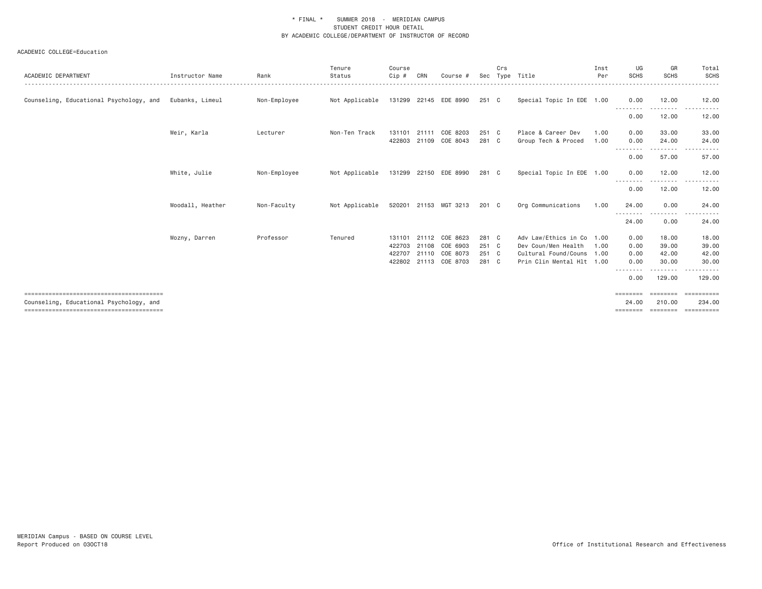| ACADEMIC DEPARTMENT                     | Instructor Name  | Rank         | Tenure<br>Status | Course<br>$Cip$ # | CRN            | Course #              | Sec            | Crs | Type Title                                | Inst<br>Per  | UG<br>SCHS              | GR<br><b>SCHS</b>     | Total<br>SCHS  |
|-----------------------------------------|------------------|--------------|------------------|-------------------|----------------|-----------------------|----------------|-----|-------------------------------------------|--------------|-------------------------|-----------------------|----------------|
| Counseling, Educational Psychology, and | Eubanks, Limeul  | Non-Employee | Not Applicable   | 131299            |                | 22145 EDE 8990        | 251 C          |     | Special Topic In EDE 1.00                 |              | 0.00                    | 12.00                 | 12.00          |
|                                         |                  |              |                  |                   |                |                       |                |     |                                           |              | 0.00                    | 12.00                 | 12.00          |
|                                         | Weir, Karla      | Lecturer     | Non-Ten Track    | 131101<br>422803  | 21111<br>21109 | COE 8203<br>COE 8043  | 251 C<br>281 C |     | Place & Career Dev<br>Group Tech & Proced | 1.00<br>1.00 | 0.00<br>0.00            | 33.00<br>24,00        | 33.00<br>24.00 |
|                                         |                  |              |                  |                   |                |                       |                |     |                                           |              | - - - - - - - -<br>0.00 | .<br>57.00            | 57.00          |
|                                         | White, Julie     | Non-Employee | Not Applicable   | 131299            |                | 22150 EDE 8990        | 281 C          |     | Special Topic In EDE 1.00                 |              | 0.00                    | 12.00                 | 12.00          |
|                                         |                  |              |                  |                   |                |                       |                |     |                                           |              | 0.00                    | 12.00                 | 12.00          |
|                                         | Woodall, Heather | Non-Faculty  | Not Applicable   |                   |                | 520201 21153 MGT 3213 | 201 C          |     | Org Communications                        | 1.00         | 24.00<br>.              | 0.00<br>$\frac{1}{2}$ | 24.00          |
|                                         |                  |              |                  |                   |                |                       |                |     |                                           |              | 24.00                   | 0.00                  | 24.00          |
|                                         | Wozny, Darren    | Professor    | Tenured          | 131101            |                | 21112 COE 8623        | 281 C          |     | Adv Law/Ethics in Co                      | 1.00         | 0.00                    | 18.00                 | 18.00          |
|                                         |                  |              |                  | 422703            |                | 21108 COE 6903        | 251 C          |     | Dev Coun/Men Health                       | 1.00         | 0.00                    | 39,00                 | 39.00          |
|                                         |                  |              |                  | 422707            |                | 21110 COE 8073        | 251 C          |     | Cultural Found/Couns 1.00                 |              | 0.00                    | 42.00                 | 42.00          |
|                                         |                  |              |                  | 422802            |                | 21113 COE 8703        | 281 C          |     | Prin Clin Mental Hlt 1.00                 |              | 0.00<br>.               | 30.00<br>-------      | 30.00<br>.     |
|                                         |                  |              |                  |                   |                |                       |                |     |                                           |              | 0.00                    | 129.00                | 129.00         |
|                                         |                  |              |                  |                   |                |                       |                |     |                                           |              | $=$ = = = = = = =       | ========              | ___________    |
| Counseling, Educational Psychology, and |                  |              |                  |                   |                |                       |                |     |                                           |              | 24,00                   | 210,00                | 234,00         |
|                                         |                  |              |                  |                   |                |                       |                |     |                                           |              | ========                | ========              |                |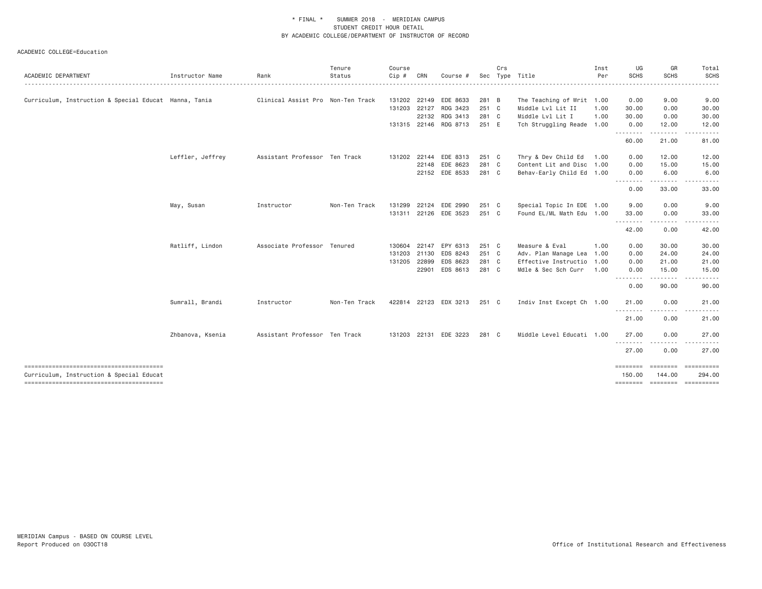| ACADEMIC DEPARTMENT                                   | Instructor Name  | Rank                              | Tenure<br>Status | Course<br>$Cip$ # | CRN          | Course #              | Sec   | Crs | Type Title                | Inst<br>Per | UG<br><b>SCHS</b> | GR<br><b>SCHS</b> | Total<br>SCHS                        |
|-------------------------------------------------------|------------------|-----------------------------------|------------------|-------------------|--------------|-----------------------|-------|-----|---------------------------|-------------|-------------------|-------------------|--------------------------------------|
|                                                       |                  |                                   |                  |                   |              |                       |       |     |                           |             |                   |                   |                                      |
| Curriculum, Instruction & Special Educat Hanna, Tania |                  | Clinical Assist Pro Non-Ten Track |                  | 131202            |              | 22149 EDE 8633        | 281 B |     | The Teaching of Writ 1.00 |             | 0.00              | 9.00              | 9.00                                 |
|                                                       |                  |                                   |                  | 131203            | 22127        | RDG 3423              | 251 C |     | Middle Lvl Lit II         | 1.00        | 30.00             | 0.00              | 30.00                                |
|                                                       |                  |                                   |                  |                   |              | 22132 RDG 3413        | 281 C |     | Middle Lvl Lit I          | 1.00        | 30.00             | 0.00              | 30.00                                |
|                                                       |                  |                                   |                  |                   |              | 131315 22146 RDG 8713 | 251 E |     | Tch Struggling Reade 1.00 |             | 0.00<br>.         | 12.00             | 12.00                                |
|                                                       |                  |                                   |                  |                   |              |                       |       |     |                           |             | 60.00             | 21.00             | 81.00                                |
|                                                       | Leffler, Jeffrey | Assistant Professor Ten Track     |                  | 131202            |              | 22144 EDE 8313        | 251 C |     | Thry & Dev Child Ed       | 1.00        | 0.00              | 12.00             | 12.00                                |
|                                                       |                  |                                   |                  |                   |              | 22148 EDE 8623        | 281 C |     | Content Lit and Disc 1.00 |             | 0.00              | 15.00             | 15.00                                |
|                                                       |                  |                                   |                  |                   |              | 22152 EDE 8533        | 281 C |     | Behav-Early Child Ed 1.00 |             | 0.00<br><u>.</u>  | 6.00              | 6.00                                 |
|                                                       |                  |                                   |                  |                   |              |                       |       |     |                           |             | 0.00              | 33.00             | 33.00                                |
|                                                       | May, Susan       | Instructor                        | Non-Ten Track    | 131299            | 22124        | EDE 2990              | 251 C |     | Special Topic In EDE 1.00 |             | 9.00              | 0.00              | 9.00                                 |
|                                                       |                  |                                   |                  |                   |              | 131311 22126 EDE 3523 | 251 C |     | Found EL/ML Math Edu 1.00 |             | 33.00             | 0.00              | 33.00                                |
|                                                       |                  |                                   |                  |                   |              |                       |       |     |                           |             | .<br>42.00        | -----<br>0.00     | .<br>42.00                           |
|                                                       | Ratliff, Lindon  | Associate Professor Tenured       |                  |                   | 130604 22147 | EPY 6313              | 251 C |     | Measure & Eval            | 1.00        | 0.00              | 30.00             | 30.00                                |
|                                                       |                  |                                   |                  | 131203            | 21130        | EDS 8243              | 251 C |     | Adv. Plan Manage Lea 1.00 |             | 0.00              | 24.00             | 24.00                                |
|                                                       |                  |                                   |                  | 131205            | 22899        | EDS 8623              | 281 C |     | Effective Instructio 1.00 |             | 0.00              | 21.00             | 21.00                                |
|                                                       |                  |                                   |                  |                   | 22901        | EDS 8613              | 281 C |     | Mdle & Sec Sch Curr       | 1.00        | 0.00              | 15.00             | 15.00                                |
|                                                       |                  |                                   |                  |                   |              |                       |       |     |                           |             | .<br>0.00         | 90.00             | 90.00                                |
|                                                       | Sumrall, Brandi  | Instructor                        | Non-Ten Track    |                   |              | 422814 22123 EDX 3213 | 251 C |     | Indiv Inst Except Ch 1.00 |             | 21.00             | 0.00              | 21.00                                |
|                                                       |                  |                                   |                  |                   |              |                       |       |     |                           |             | .<br>21.00        | 0.00              | 21.00                                |
|                                                       | Zhbanova, Ksenia | Assistant Professor Ten Track     |                  |                   |              | 131203 22131 EDE 3223 | 281 C |     | Middle Level Educati 1.00 |             | 27,00             | 0.00              | 27.00                                |
|                                                       |                  |                                   |                  |                   |              |                       |       |     |                           |             | .<br>27.00        | <u>.</u><br>0.00  | 27.00                                |
|                                                       |                  |                                   |                  |                   |              |                       |       |     |                           |             |                   | ========          | ==========                           |
| Curriculum, Instruction & Special Educat              |                  |                                   |                  |                   |              |                       |       |     |                           |             | 150,00            | 144.00            | 294.00<br>-------- ------- --------- |
|                                                       |                  |                                   |                  |                   |              |                       |       |     |                           |             |                   |                   |                                      |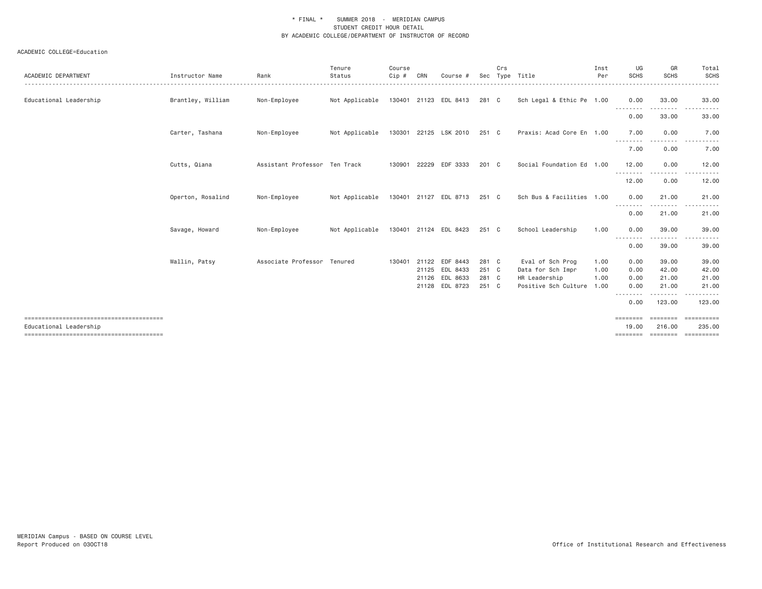| ACADEMIC DEPARTMENT    | Instructor Name   | Rank                          | Tenure<br>Status | Course<br>Cip# | CRN | Course #                    | Sec   | Crs | Type Title                | Inst<br>Per | UG<br><b>SCHS</b>       | GR<br><b>SCHS</b>     | Total<br>SCHS                                                                                                                                                                                                                                                                                                                                                                                                                                                                                    |
|------------------------|-------------------|-------------------------------|------------------|----------------|-----|-----------------------------|-------|-----|---------------------------|-------------|-------------------------|-----------------------|--------------------------------------------------------------------------------------------------------------------------------------------------------------------------------------------------------------------------------------------------------------------------------------------------------------------------------------------------------------------------------------------------------------------------------------------------------------------------------------------------|
| Educational Leadership | Brantley, William | Non-Employee                  | Not Applicable   |                |     | 130401 21123 EDL 8413       | 281 C |     | Sch Legal & Ethic Pe 1.00 |             | 0.00<br>--------        | 33.00<br>--------     | 33.00<br>$\sim$ $\sim$ $\sim$<br>.                                                                                                                                                                                                                                                                                                                                                                                                                                                               |
|                        |                   |                               |                  |                |     |                             |       |     |                           |             | 0.00                    | 33.00                 | 33.00                                                                                                                                                                                                                                                                                                                                                                                                                                                                                            |
|                        | Carter, Tashana   | Non-Employee                  | Not Applicable   |                |     | 130301 22125 LSK 2010       | 251 C |     | Praxis: Acad Core En 1.00 |             | 7.00                    | 0.00                  | 7.00                                                                                                                                                                                                                                                                                                                                                                                                                                                                                             |
|                        |                   |                               |                  |                |     |                             |       |     |                           |             | --------<br>7.00        | 0.00                  | 7.00                                                                                                                                                                                                                                                                                                                                                                                                                                                                                             |
|                        | Cutts, Qiana      | Assistant Professor Ten Track |                  | 130901 22229   |     | EDF 3333                    | 201 C |     | Social Foundation Ed 1.00 |             | 12.00                   | 0.00                  | 12.00                                                                                                                                                                                                                                                                                                                                                                                                                                                                                            |
|                        |                   |                               |                  |                |     |                             |       |     |                           |             | .<br>12.00              | $\frac{1}{2}$<br>0.00 | 12.00                                                                                                                                                                                                                                                                                                                                                                                                                                                                                            |
|                        | Operton, Rosalind | Non-Employee                  | Not Applicable   |                |     | 130401 21127 EDL 8713 251 C |       |     | Sch Bus & Facilities 1.00 |             | 0.00                    | 21.00                 | 21.00                                                                                                                                                                                                                                                                                                                                                                                                                                                                                            |
|                        |                   |                               |                  |                |     |                             |       |     |                           |             | - - - - - - - -<br>0.00 | 21.00                 | 21.00                                                                                                                                                                                                                                                                                                                                                                                                                                                                                            |
|                        | Savage, Howard    | Non-Employee                  | Not Applicable   |                |     | 130401 21124 EDL 8423       | 251 C |     | School Leadership         | 1.00        | 0.00                    | 39,00                 | 39.00                                                                                                                                                                                                                                                                                                                                                                                                                                                                                            |
|                        |                   |                               |                  |                |     |                             |       |     |                           |             | 0.00                    | 39.00                 | 39.00                                                                                                                                                                                                                                                                                                                                                                                                                                                                                            |
|                        | Wallin, Patsy     | Associate Professor Tenured   |                  | 130401 21122   |     | EDF 8443                    | 281 C |     | Eval of Sch Prog          | 1.00        | 0.00                    | 39.00                 | 39.00                                                                                                                                                                                                                                                                                                                                                                                                                                                                                            |
|                        |                   |                               |                  |                |     | 21125 EDL 8433              | 251 C |     | Data for Sch Impr         | 1.00        | 0.00                    | 42.00                 | 42.00                                                                                                                                                                                                                                                                                                                                                                                                                                                                                            |
|                        |                   |                               |                  |                |     | 21126 EDL 8633              | 281 C |     | HR Leadership             | 1.00        | 0.00                    | 21.00                 | 21.00                                                                                                                                                                                                                                                                                                                                                                                                                                                                                            |
|                        |                   |                               |                  |                |     | 21128 EDL 8723              | 251 C |     | Positive Sch Culture      | 1.00        | 0.00<br>.               | 21.00<br>.            | 21.00                                                                                                                                                                                                                                                                                                                                                                                                                                                                                            |
|                        |                   |                               |                  |                |     |                             |       |     |                           |             | 0.00                    | 123.00                | 123.00                                                                                                                                                                                                                                                                                                                                                                                                                                                                                           |
| Educational Leadership |                   |                               |                  |                |     |                             |       |     |                           |             | ========<br>19,00       | 216,00                | $\begin{minipage}{0.03\textwidth} \begin{tabular}{l} \multicolumn{2}{l}{} & \multicolumn{2}{l}{} & \multicolumn{2}{l}{} & \multicolumn{2}{l}{} \\ \multicolumn{2}{l}{} & \multicolumn{2}{l}{} & \multicolumn{2}{l}{} & \multicolumn{2}{l}{} \\ \multicolumn{2}{l}{} & \multicolumn{2}{l}{} & \multicolumn{2}{l}{} \\ \multicolumn{2}{l}{} & \multicolumn{2}{l}{} & \multicolumn{2}{l}{} \\ \multicolumn{2}{l}{} & \multicolumn{2}{l}{} & \multicolumn{2}{l}{} \\ \multicolumn{2}{l}{}$<br>235.00 |
|                        |                   |                               |                  |                |     |                             |       |     |                           |             | ========                |                       |                                                                                                                                                                                                                                                                                                                                                                                                                                                                                                  |